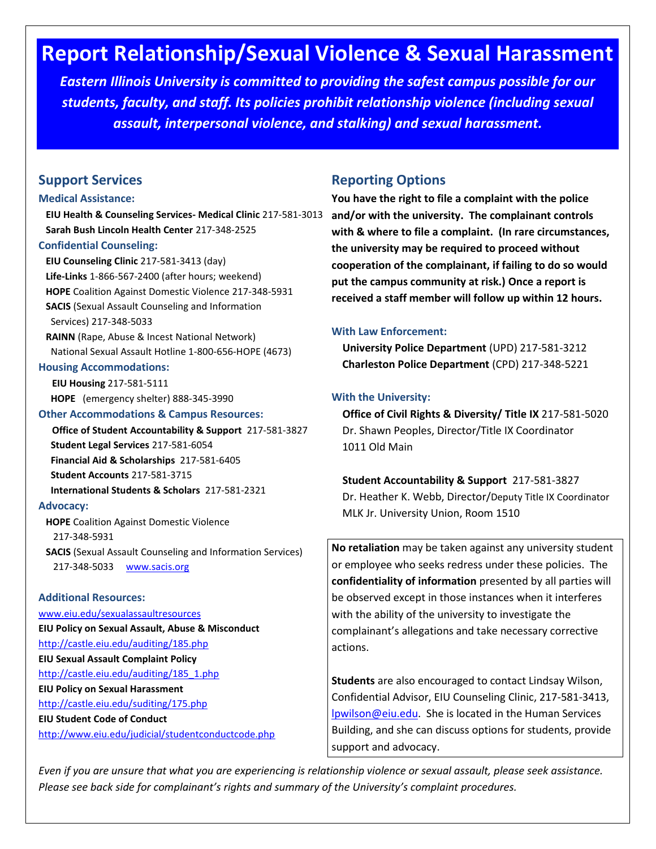## **Report Relationship/Sexual Violence & Sexual Harassment**

*Eastern Illinois University is committed to providing the safest campus possible for our students, faculty, and staff. Its policies prohibit relationship violence (including sexual assault, interpersonal violence, and stalking) and sexual harassment.*

#### **Support Services**

#### **Medical Assistance:**

 **EIU Health & Counseling Services- Medical Clinic** 217-581-3013 **and/or with the university. The complainant controls Sarah Bush Lincoln Health Center** 217-348-2525

#### **Confidential Counseling:**

 **EIU Counseling Clinic** 217-581-3413 (day)  **Life-Links** 1-866-567-2400 (after hours; weekend)  **HOPE** Coalition Against Domestic Violence 217-348-5931  **SACIS** (Sexual Assault Counseling and Information Services) 217-348-5033  **RAINN** (Rape, Abuse & Incest National Network) National Sexual Assault Hotline 1-800-656-HOPE (4673) **Housing Accommodations: EIU Housing** 217-581-5111  **HOPE** (emergency shelter) 888-345-3990 **Other Accommodations & Campus Resources: Office of Student Accountability & Support** 217-581-3827  **Student Legal Services** 217-581-6054 **Financial Aid & Scholarships** 217-581-6405 **Student Accounts** 217-581-3715  **International Students & Scholars** 217-581-2321 **Advocacy: HOPE** Coalition Against Domestic Violence 217-348-5931

 **SACIS** (Sexual Assault Counseling and Information Services) 217-348-5033 [www.sacis.org](http://www.sacis.org/)

#### **Additional Resources:**

[www.eiu.edu/sexualassaultresources](http://www.eiu.edu/sexualassaultresources) **EIU Policy on Sexual Assault, Abuse & Misconduct** <http://castle.eiu.edu/auditing/185.php> **EIU Sexual Assault Complaint Policy** [http://castle.eiu.edu/auditing/185\\_1.php](http://castle.eiu.edu/auditing/185_1.php) **EIU Policy on Sexual Harassment** <http://castle.eiu.edu/suditing/175.php> **EIU Student Code of Conduct** <http://www.eiu.edu/judicial/studentconductcode.php>

### **Reporting Options**

**You have the right to file a complaint with the police with & where to file a complaint. (In rare circumstances, the university may be required to proceed without cooperation of the complainant, if failing to do so would put the campus community at risk.) Once a report is received a staff member will follow up within 12 hours.** 

#### **With Law Enforcement:**

 **University Police Department** (UPD) 217-581-3212  **Charleston Police Department** (CPD) 217-348-5221

#### **With the University:**

 **Office of Civil Rights & Diversity/ Title IX** 217-581-5020 Dr. Shawn Peoples, Director/Title IX Coordinator 1011 Old Main

# **Student Accountability & Support** 217-581-3827

 Dr. Heather K. Webb, Director/Deputy Title IX Coordinator MLK Jr. University Union, Room 1510

**No retaliation** may be taken against any university student or employee who seeks redress under these policies. The **confidentiality of information** presented by all parties will be observed except in those instances when it interferes with the ability of the university to investigate the complainant's allegations and take necessary corrective actions.

**Students** are also encouraged to contact Lindsay Wilson, Confidential Advisor, EIU Counseling Clinic, 217-581-3413, [lpwilson@eiu.edu.](mailto:lpwilson@eiu.edu) She is located in the Human Services Building, and she can discuss options for students, provide support and advocacy.

*Even if you are unsure that what you are experiencing is relationship violence or sexual assault, please seek assistance. Please see back side for complainant's rights and summary of the University's complaint procedures.*